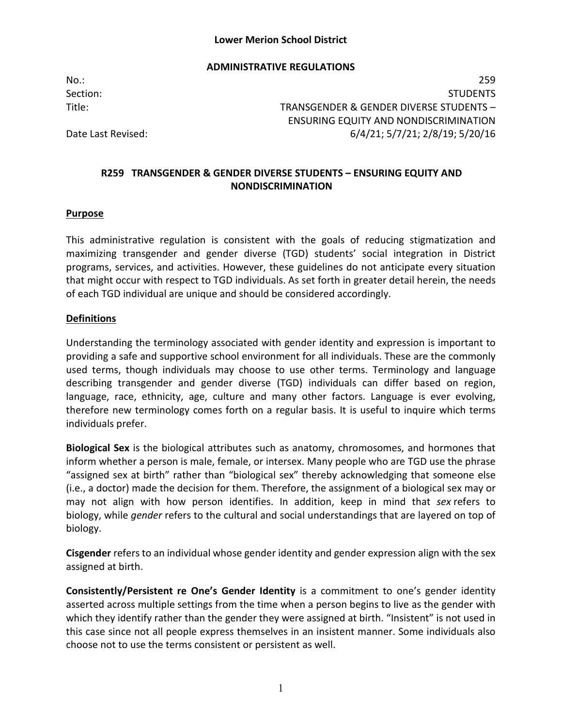#### **ADMINISTRATIVE REGULATIONS**

No.: 259 Section: Studies and Studies and Studies and Studies and Studies and Studies and Studies and Studies and Studies Title: TRANSGENDER & GENDER DIVERSE STUDENTS – ENSURING EQUITY AND NONDISCRIMINATION Date Last Revised: 6/4/21; 5/7/21; 2/8/19; 5/20/16

# **R259 TRANSGENDER & GENDER DIVERSE STUDENTS – ENSURING EQUITY AND NONDISCRIMINATION**

#### **Purpose**

This administrative regulation is consistent with the goals of reducing stigmatization and maximizing transgender and gender diverse (TGD) students' social integration in District programs, services, and activities. However, these guidelines do not anticipate every situation that might occur with respect to TGD individuals. As set forth in greater detail herein, the needs of each TGD individual are unique and should be considered accordingly.

#### **Definitions**

Understanding the terminology associated with gender identity and expression is important to providing a safe and supportive school environment for all individuals. These are the commonly used terms, though individuals may choose to use other terms. Terminology and language describing transgender and gender diverse (TGD) individuals can differ based on region, language, race, ethnicity, age, culture and many other factors. Language is ever evolving, therefore new terminology comes forth on a regular basis. It is useful to inquire which terms individuals prefer.

**Biological Sex** is the biological attributes such as anatomy, chromosomes, and hormones that inform whether a person is male, female, or intersex. Many people who are TGD use the phrase "assigned sex at birth" rather than "biological sex" thereby acknowledging that someone else (i.e., a doctor) made the decision for them. Therefore, the assignment of a biological sex may or may not align with how person identifies. In addition, keep in mind that *sex* refers to biology, while *gender* refers to the cultural and social understandings that are layered on top of biology.

**Cisgender** refers to an individual whose gender identity and gender expression align with the sex assigned at birth.

**Consistently/Persistent re One's Gender Identity** is a commitment to one's gender identity asserted across multiple settings from the time when a person begins to live as the gender with which they identify rather than the gender they were assigned at birth. "Insistent" is not used in this case since not all people express themselves in an insistent manner. Some individuals also choose not to use the terms consistent or persistent as well.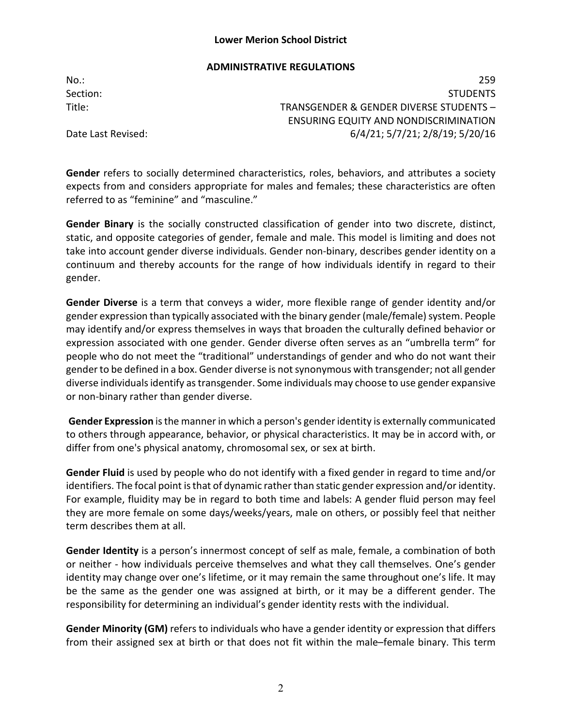### **ADMINISTRATIVE REGULATIONS**

No.: 259 Section: Studies and Studies and Studies and Studies and Studies and Studies and Studies and Studies and Studies Title: TRANSGENDER & GENDER DIVERSE STUDENTS – ENSURING EQUITY AND NONDISCRIMINATION Date Last Revised: 6/4/21; 5/7/21; 2/8/19; 5/20/16

**Gender** refers to socially determined characteristics, roles, behaviors, and attributes a society expects from and considers appropriate for males and females; these characteristics are often referred to as "feminine" and "masculine."

**Gender Binary** is the socially constructed classification of gender into two discrete, distinct, static, and opposite categories of gender, female and male. This model is limiting and does not take into account gender diverse individuals. Gender non-binary, describes gender identity on a continuum and thereby accounts for the range of how individuals identify in regard to their gender.

**Gender Diverse** is a term that conveys a wider, more flexible range of gender identity and/or gender expression than typically associated with the binary gender (male/female) system. People may identify and/or express themselves in ways that broaden the culturally defined behavior or expression associated with one gender. Gender diverse often serves as an "umbrella term" for people who do not meet the "traditional" understandings of gender and who do not want their genderto be defined in a box. Gender diverse is not synonymous with transgender; not all gender diverse individuals identify as transgender. Some individuals may choose to use gender expansive or non-binary rather than gender diverse.

**Gender Expression** is the manner in which a person's gender identity is externally communicated to others through appearance, behavior, or physical characteristics. It may be in accord with, or differ from one's physical anatomy, chromosomal sex, or sex at birth.

**Gender Fluid** is used by people who do not identify with a fixed gender in regard to time and/or identifiers. The focal point is that of dynamic rather than static gender expression and/or identity. For example, fluidity may be in regard to both time and labels: A gender fluid person may feel they are more female on some days/weeks/years, male on others, or possibly feel that neither term describes them at all.

**Gender Identity** is a person's innermost concept of self as male, female, a combination of both or neither - how individuals perceive themselves and what they call themselves. One's gender identity may change over one's lifetime, or it may remain the same throughout one's life. It may be the same as the gender one was assigned at birth, or it may be a different gender. The responsibility for determining an individual's gender identity rests with the individual.

**Gender Minority (GM)** refers to individuals who have a gender identity or expression that differs from their assigned sex at birth or that does not fit within the male–female binary. This term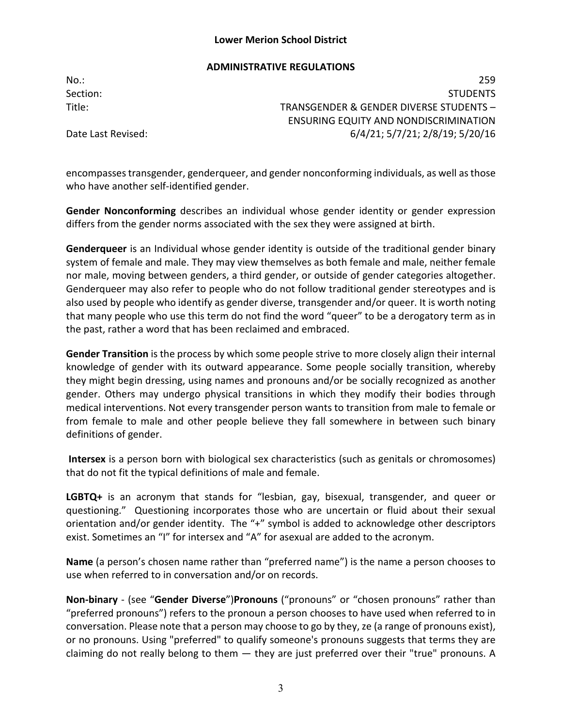### **ADMINISTRATIVE REGULATIONS**

No.: 259 Section: Studies and Studies and Studies and Studies and Studies and Studies and Studies and Studies and Studies Title: TRANSGENDER & GENDER DIVERSE STUDENTS – ENSURING EQUITY AND NONDISCRIMINATION Date Last Revised: 6/4/21; 5/7/21; 2/8/19; 5/20/16

encompasses transgender, genderqueer, and gender nonconforming individuals, as well as those who have another self-identified gender.

**Gender Nonconforming** describes an individual whose gender identity or gender expression differs from the gender norms associated with the sex they were assigned at birth.

**Genderqueer** is an Individual whose gender identity is outside of the traditional gender binary system of female and male. They may view themselves as both female and male, neither female nor male, moving between genders, a third gender, or outside of gender categories altogether. Genderqueer may also refer to people who do not follow traditional gender stereotypes and is also used by people who identify as gender diverse, transgender and/or queer. It is worth noting that many people who use this term do not find the word "queer" to be a derogatory term as in the past, rather a word that has been reclaimed and embraced.

**Gender Transition** is the process by which some people strive to more closely align their internal knowledge of gender with its outward appearance. Some people socially transition, whereby they might begin dressing, using names and pronouns and/or be socially recognized as another gender. Others may undergo physical transitions in which they modify their bodies through medical interventions. Not every transgender person wants to transition from male to female or from female to male and other people believe they fall somewhere in between such binary definitions of gender.

**Intersex** is a person born with biological sex characteristics (such as genitals or chromosomes) that do not fit the typical definitions of male and female.

**LGBTQ+** is an acronym that stands for "lesbian, gay, bisexual, transgender, and queer or questioning." Questioning incorporates those who are uncertain or fluid about their sexual orientation and/or gender identity. The "+" symbol is added to acknowledge other descriptors exist. Sometimes an "I" for intersex and "A" for asexual are added to the acronym.

**Name** (a person's chosen name rather than "preferred name") is the name a person chooses to use when referred to in conversation and/or on records.

**Non-binary** - (see "**Gender Diverse**")**Pronouns** ("pronouns" or "chosen pronouns" rather than "preferred pronouns") refers to the pronoun a person chooses to have used when referred to in conversation. Please note that a person may choose to go by they, ze (a range of pronouns exist), or no pronouns. Using "preferred" to qualify someone's pronouns suggests that terms they are claiming do not really belong to them — they are just preferred over their "true" pronouns. A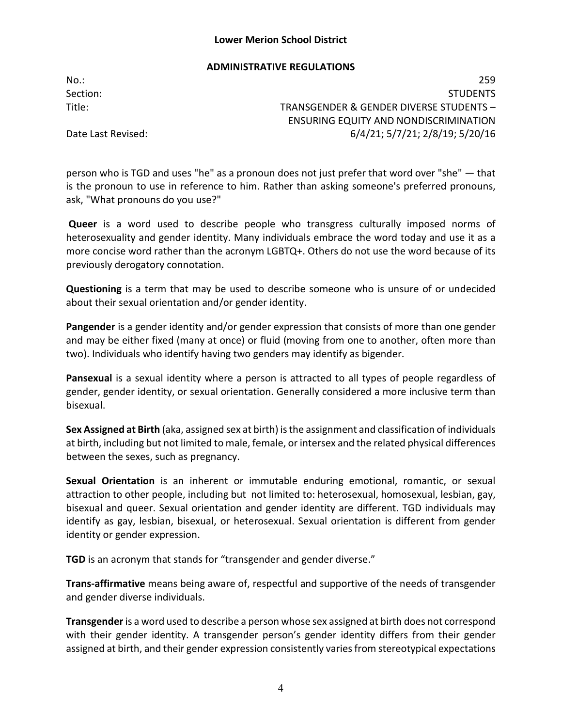### **ADMINISTRATIVE REGULATIONS**

No.: 259 Section: Studies and Studies and Studies and Studies and Studies and Studies and Studies and Studies and Studies Title: TRANSGENDER & GENDER DIVERSE STUDENTS – ENSURING EQUITY AND NONDISCRIMINATION Date Last Revised: 6/4/21; 5/7/21; 2/8/19; 5/20/16

person who is TGD and uses "he" as a pronoun does not just prefer that word over "she" — that is the pronoun to use in reference to him. Rather than asking someone's preferred pronouns, ask, "What pronouns do you use?"

**Queer** is a word used to describe people who transgress culturally imposed norms of heterosexuality and gender identity. Many individuals embrace the word today and use it as a more concise word rather than the acronym LGBTQ+. Others do not use the word because of its previously derogatory connotation.

**Questioning** is a term that may be used to describe someone who is unsure of or undecided about their sexual orientation and/or gender identity.

**Pangender** is a gender identity and/or gender expression that consists of more than one gender and may be either fixed (many at once) or fluid (moving from one to another, often more than two). Individuals who identify having two genders may identify as bigender.

**Pansexual** is a sexual identity where a person is attracted to all types of people regardless of gender, gender identity, or sexual orientation. Generally considered a more inclusive term than bisexual.

**Sex Assigned at Birth** (aka, assigned sex at birth) is the assignment and classification of individuals at birth, including but not limited to male, female, or intersex and the related physical differences between the sexes, such as pregnancy.

**Sexual Orientation** is an inherent or immutable enduring emotional, romantic, or sexual attraction to other people, including but not limited to: heterosexual, homosexual, lesbian, gay, bisexual and queer. Sexual orientation and gender identity are different. TGD individuals may identify as gay, lesbian, bisexual, or heterosexual. Sexual orientation is different from gender identity or gender expression.

**TGD** is an acronym that stands for "transgender and gender diverse."

**Trans-affirmative** means being aware of, respectful and supportive of the needs of transgender and gender diverse individuals.

**Transgender** is a word used to describe a person whose sex assigned at birth does not correspond with their gender identity. A transgender person's gender identity differs from their gender assigned at birth, and their gender expression consistently varies from stereotypical expectations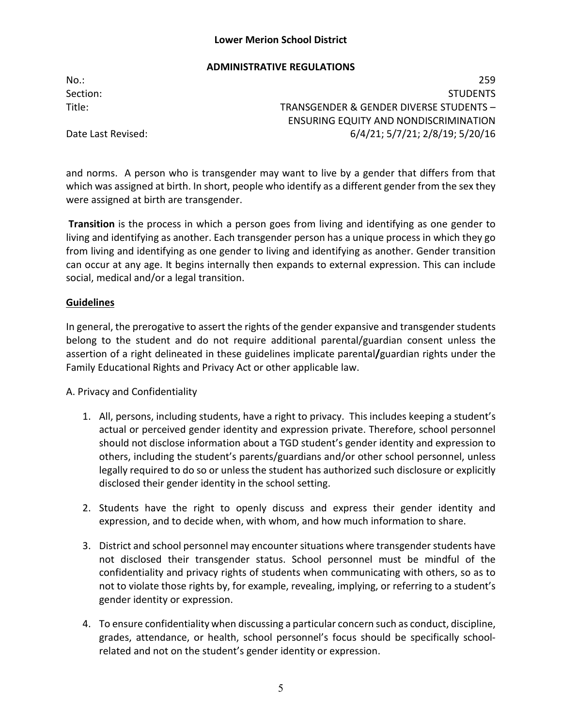### **ADMINISTRATIVE REGULATIONS**

No.: 259 Section: Studies and Studies and Studies and Studies and Studies and Studies and Studies and Studies and Studies Title: TRANSGENDER & GENDER DIVERSE STUDENTS – ENSURING EQUITY AND NONDISCRIMINATION Date Last Revised: 6/4/21; 5/7/21; 2/8/19; 5/20/16

and norms. A person who is transgender may want to live by a gender that differs from that which was assigned at birth. In short, people who identify as a different gender from the sex they were assigned at birth are transgender.

**Transition** is the process in which a person goes from living and identifying as one gender to living and identifying as another. Each transgender person has a unique process in which they go from living and identifying as one gender to living and identifying as another. Gender transition can occur at any age. It begins internally then expands to external expression. This can include social, medical and/or a legal transition.

### **Guidelines**

In general, the prerogative to assert the rights of the gender expansive and transgender students belong to the student and do not require additional parental/guardian consent unless the assertion of a right delineated in these guidelines implicate parental**/**guardian rights under the Family Educational Rights and Privacy Act or other applicable law.

## A. Privacy and Confidentiality

- 1. All, persons, including students, have a right to privacy. This includes keeping a student's actual or perceived gender identity and expression private. Therefore, school personnel should not disclose information about a TGD student's gender identity and expression to others, including the student's parents/guardians and/or other school personnel, unless legally required to do so or unless the student has authorized such disclosure or explicitly disclosed their gender identity in the school setting.
- 2. Students have the right to openly discuss and express their gender identity and expression, and to decide when, with whom, and how much information to share.
- 3. District and school personnel may encounter situations where transgender students have not disclosed their transgender status. School personnel must be mindful of the confidentiality and privacy rights of students when communicating with others, so as to not to violate those rights by, for example, revealing, implying, or referring to a student's gender identity or expression.
- 4. To ensure confidentiality when discussing a particular concern such as conduct, discipline, grades, attendance, or health, school personnel's focus should be specifically schoolrelated and not on the student's gender identity or expression.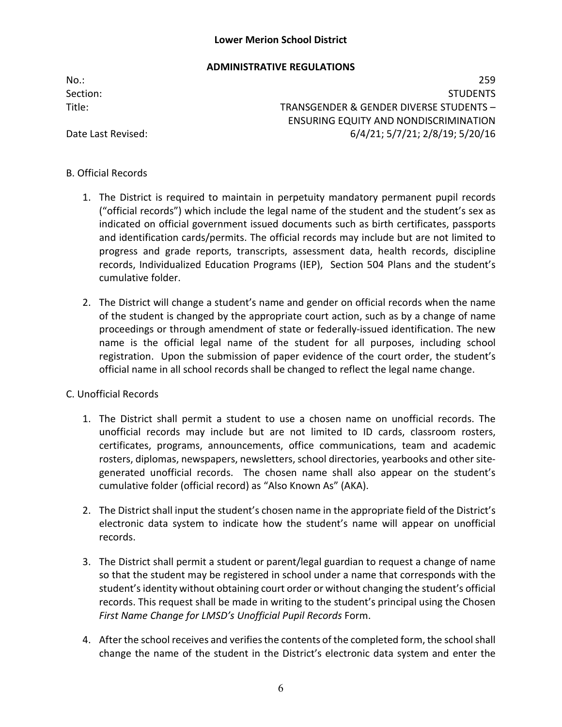# **ADMINISTRATIVE REGULATIONS**

No.: 259 Section: Studies and Studies and Studies and Studies and Studies and Studies and Studies and Studies and Studies Title: TRANSGENDER & GENDER DIVERSE STUDENTS – ENSURING EQUITY AND NONDISCRIMINATION Date Last Revised: 6/4/21; 5/7/21; 2/8/19; 5/20/16

## B. Official Records

- 1. The District is required to maintain in perpetuity mandatory permanent pupil records ("official records") which include the legal name of the student and the student's sex as indicated on official government issued documents such as birth certificates, passports and identification cards/permits. The official records may include but are not limited to progress and grade reports, transcripts, assessment data, health records, discipline records, Individualized Education Programs (IEP), Section 504 Plans and the student's cumulative folder.
- 2. The District will change a student's name and gender on official records when the name of the student is changed by the appropriate court action, such as by a change of name proceedings or through amendment of state or federally-issued identification. The new name is the official legal name of the student for all purposes, including school registration. Upon the submission of paper evidence of the court order, the student's official name in all school records shall be changed to reflect the legal name change.

## C. Unofficial Records

- 1. The District shall permit a student to use a chosen name on unofficial records. The unofficial records may include but are not limited to ID cards, classroom rosters, certificates, programs, announcements, office communications, team and academic rosters, diplomas, newspapers, newsletters, school directories, yearbooks and other sitegenerated unofficial records. The chosen name shall also appear on the student's cumulative folder (official record) as "Also Known As" (AKA).
- 2. The District shall input the student's chosen name in the appropriate field of the District's electronic data system to indicate how the student's name will appear on unofficial records.
- 3. The District shall permit a student or parent/legal guardian to request a change of name so that the student may be registered in school under a name that corresponds with the student's identity without obtaining court order or without changing the student's official records. This request shall be made in writing to the student's principal using the Chosen *First Name Change for LMSD's Unofficial Pupil Records* Form.
- 4. After the school receives and verifies the contents of the completed form, the school shall change the name of the student in the District's electronic data system and enter the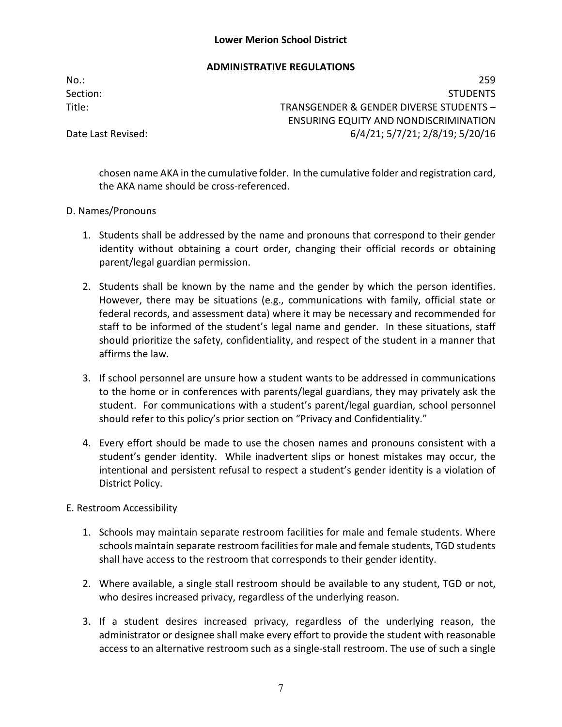### **ADMINISTRATIVE REGULATIONS**

No.: 259 Section: Studies and Studies and Studies and Studies and Studies and Studies and Studies and Studies and Studies Title: TRANSGENDER & GENDER DIVERSE STUDENTS – ENSURING EQUITY AND NONDISCRIMINATION Date Last Revised: 6/4/21; 5/7/21; 2/8/19; 5/20/16

chosen name AKA in the cumulative folder. In the cumulative folder and registration card, the AKA name should be cross-referenced.

### D. Names/Pronouns

- 1. Students shall be addressed by the name and pronouns that correspond to their gender identity without obtaining a court order, changing their official records or obtaining parent/legal guardian permission.
- 2. Students shall be known by the name and the gender by which the person identifies. However, there may be situations (e.g., communications with family, official state or federal records, and assessment data) where it may be necessary and recommended for staff to be informed of the student's legal name and gender. In these situations, staff should prioritize the safety, confidentiality, and respect of the student in a manner that affirms the law.
- 3. If school personnel are unsure how a student wants to be addressed in communications to the home or in conferences with parents/legal guardians, they may privately ask the student. For communications with a student's parent/legal guardian, school personnel should refer to this policy's prior section on "Privacy and Confidentiality."
- 4. Every effort should be made to use the chosen names and pronouns consistent with a student's gender identity. While inadvertent slips or honest mistakes may occur, the intentional and persistent refusal to respect a student's gender identity is a violation of District Policy.

## E. Restroom Accessibility

- 1. Schools may maintain separate restroom facilities for male and female students. Where schools maintain separate restroom facilities for male and female students, TGD students shall have access to the restroom that corresponds to their gender identity.
- 2. Where available, a single stall restroom should be available to any student, TGD or not, who desires increased privacy, regardless of the underlying reason.
- 3. If a student desires increased privacy, regardless of the underlying reason, the administrator or designee shall make every effort to provide the student with reasonable access to an alternative restroom such as a single-stall restroom. The use of such a single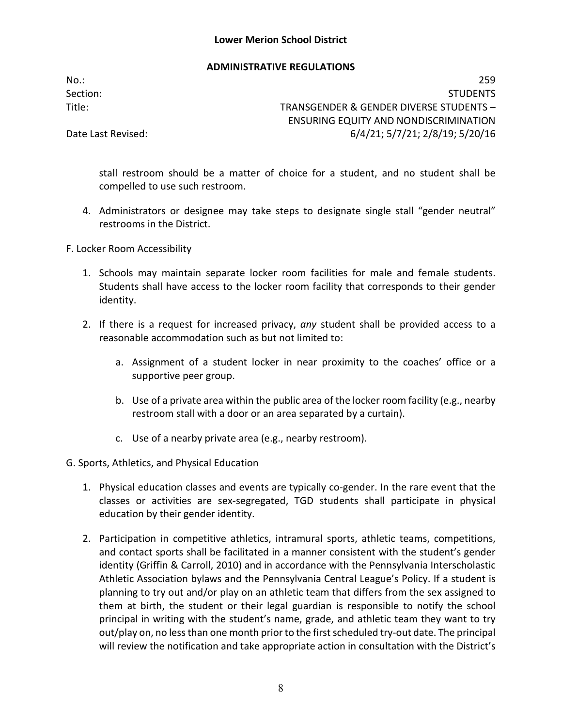### **ADMINISTRATIVE REGULATIONS**

No.: 259 Section: Studies and Studies and Studies and Studies and Studies and Studies and Studies and Studies and Studies Title: TRANSGENDER & GENDER DIVERSE STUDENTS – ENSURING EQUITY AND NONDISCRIMINATION Date Last Revised: 6/4/21; 5/7/21; 2/8/19; 5/20/16

stall restroom should be a matter of choice for a student, and no student shall be compelled to use such restroom.

- 4. Administrators or designee may take steps to designate single stall "gender neutral" restrooms in the District.
- F. Locker Room Accessibility
	- 1. Schools may maintain separate locker room facilities for male and female students. Students shall have access to the locker room facility that corresponds to their gender identity.
	- 2. If there is a request for increased privacy, *any* student shall be provided access to a reasonable accommodation such as but not limited to:
		- a. Assignment of a student locker in near proximity to the coaches' office or a supportive peer group.
		- b. Use of a private area within the public area of the locker room facility (e.g., nearby restroom stall with a door or an area separated by a curtain).
		- c. Use of a nearby private area (e.g., nearby restroom).
- G. Sports, Athletics, and Physical Education
	- 1. Physical education classes and events are typically co-gender. In the rare event that the classes or activities are sex-segregated, TGD students shall participate in physical education by their gender identity.
	- 2. Participation in competitive athletics, intramural sports, athletic teams, competitions, and contact sports shall be facilitated in a manner consistent with the student's gender identity (Griffin & Carroll, 2010) and in accordance with the Pennsylvania Interscholastic Athletic Association bylaws and the Pennsylvania Central League's Policy. If a student is planning to try out and/or play on an athletic team that differs from the sex assigned to them at birth, the student or their legal guardian is responsible to notify the school principal in writing with the student's name, grade, and athletic team they want to try out/play on, no less than one month prior to the first scheduled try-out date. The principal will review the notification and take appropriate action in consultation with the District's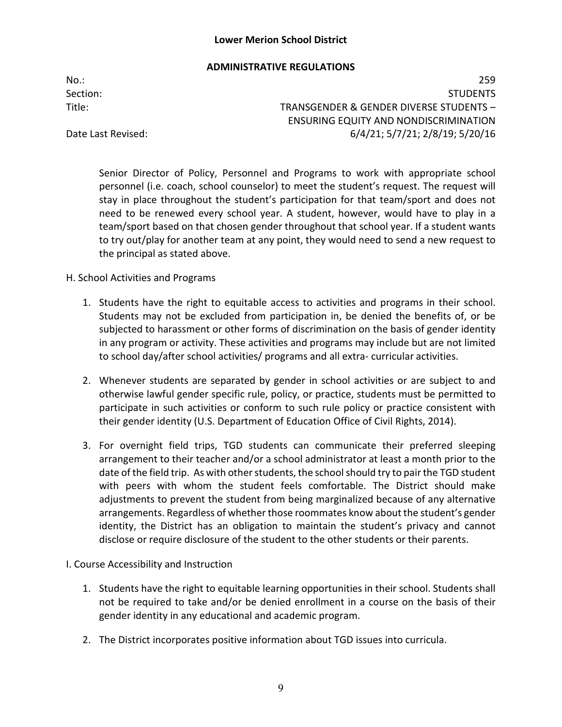### **ADMINISTRATIVE REGULATIONS**

No.: 259

Section: Studies and Studies and Studies and Studies and Studies and Studies and Studies and Studies and Studies Title: TRANSGENDER & GENDER DIVERSE STUDENTS – ENSURING EQUITY AND NONDISCRIMINATION Date Last Revised: 6/4/21; 5/7/21; 2/8/19; 5/20/16

Senior Director of Policy, Personnel and Programs to work with appropriate school personnel (i.e. coach, school counselor) to meet the student's request. The request will stay in place throughout the student's participation for that team/sport and does not need to be renewed every school year. A student, however, would have to play in a team/sport based on that chosen gender throughout that school year. If a student wants to try out/play for another team at any point, they would need to send a new request to the principal as stated above.

## H. School Activities and Programs

- 1. Students have the right to equitable access to activities and programs in their school. Students may not be excluded from participation in, be denied the benefits of, or be subjected to harassment or other forms of discrimination on the basis of gender identity in any program or activity. These activities and programs may include but are not limited to school day/after school activities/ programs and all extra- curricular activities.
- 2. Whenever students are separated by gender in school activities or are subject to and otherwise lawful gender specific rule, policy, or practice, students must be permitted to participate in such activities or conform to such rule policy or practice consistent with their gender identity (U.S. Department of Education Office of Civil Rights, 2014).
- 3. For overnight field trips, TGD students can communicate their preferred sleeping arrangement to their teacher and/or a school administrator at least a month prior to the date of the field trip. As with other students, the school should try to pair the TGD student with peers with whom the student feels comfortable. The District should make adjustments to prevent the student from being marginalized because of any alternative arrangements. Regardless of whether those roommates know about the student's gender identity, the District has an obligation to maintain the student's privacy and cannot disclose or require disclosure of the student to the other students or their parents.

### I. Course Accessibility and Instruction

- 1. Students have the right to equitable learning opportunities in their school. Students shall not be required to take and/or be denied enrollment in a course on the basis of their gender identity in any educational and academic program.
- 2. The District incorporates positive information about TGD issues into curricula.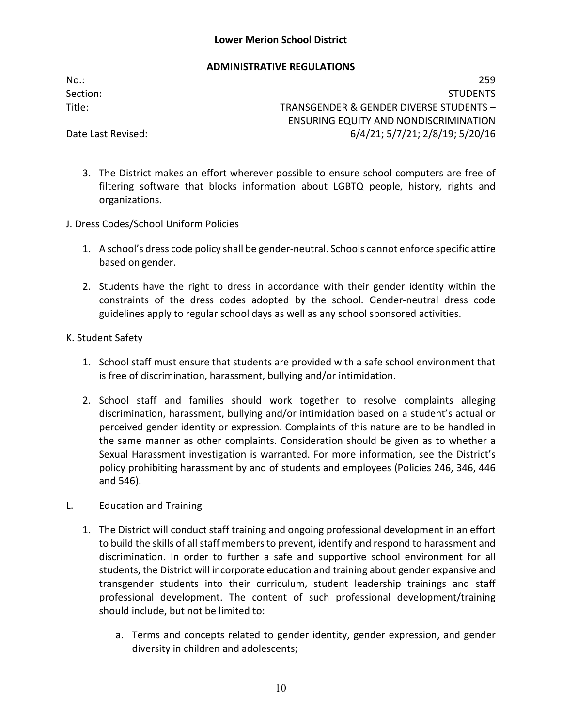## **ADMINISTRATIVE REGULATIONS**

No.: 259 Section: Studies and Studies and Studies and Studies and Studies and Studies and Studies and Studies and Studies Title: TRANSGENDER & GENDER DIVERSE STUDENTS – ENSURING EQUITY AND NONDISCRIMINATION Date Last Revised: 6/4/21; 5/7/21; 2/8/19; 5/20/16

- 3. The District makes an effort wherever possible to ensure school computers are free of filtering software that blocks information about LGBTQ people, history, rights and organizations.
- J. Dress Codes/School Uniform Policies
	- 1. A school's dress code policy shall be gender-neutral. Schools cannot enforce specific attire based on gender.
	- 2. Students have the right to dress in accordance with their gender identity within the constraints of the dress codes adopted by the school. Gender-neutral dress code guidelines apply to regular school days as well as any school sponsored activities.
- K. Student Safety
	- 1. School staff must ensure that students are provided with a safe school environment that is free of discrimination, harassment, bullying and/or intimidation.
	- 2. School staff and families should work together to resolve complaints alleging discrimination, harassment, bullying and/or intimidation based on a student's actual or perceived gender identity or expression. Complaints of this nature are to be handled in the same manner as other complaints. Consideration should be given as to whether a Sexual Harassment investigation is warranted. For more information, see the District's policy prohibiting harassment by and of students and employees (Policies 246, 346, 446 and 546).
- L. Education and Training
	- 1. The District will conduct staff training and ongoing professional development in an effort to build the skills of all staff members to prevent, identify and respond to harassment and discrimination. In order to further a safe and supportive school environment for all students, the District will incorporate education and training about gender expansive and transgender students into their curriculum, student leadership trainings and staff professional development. The content of such professional development/training should include, but not be limited to:
		- a. Terms and concepts related to gender identity, gender expression, and gender diversity in children and adolescents;